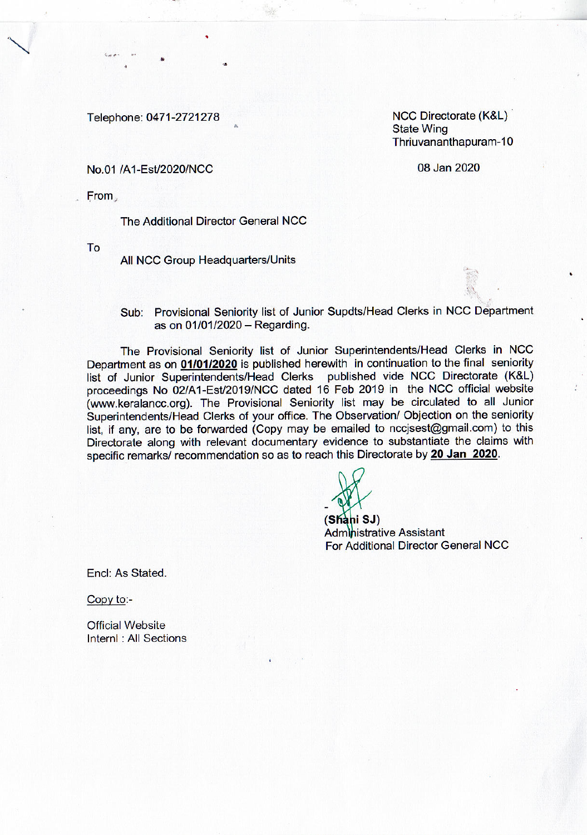Telephone: 0471-2721278

NCC Directorate (K&L) **State Wing** Thriuvananthapuram-10

08 Jan 2020

## No.01 /A1-Est/2020/NCC

From

The Additional Director General NCC

To

All NCC Group Headquarters/Units

Sub: Provisional Seniority list of Junior Supdts/Head Clerks in NCC Department as on 01/01/2020 - Regarding.

The Provisional Seniority list of Junior Superintendents/Head Clerks in NCC Department as on 01/01/2020 is published herewith in continuation to the final seniority list of Junior Superintendents/Head Clerks published vide NCC Directorate (K&L) proceedings No 02/A1-Est/2019/NCC dated 16 Feb 2019 in the NCC official website (www.keralancc.org). The Provisional Seniority list may be circulated to all Junior Superintendents/Head Clerks of your office. The Observation/ Objection on the seniority list, if any, are to be forwarded (Copy may be emailed to nccisest@gmail.com) to this Directorate along with relevant documentary evidence to substantiate the claims with specific remarks/ recommendation so as to reach this Directorate by 20 Jan 2020.

(Shani SJ) **Administrative Assistant** For Additional Director General NCC

Encl: As Stated.

Copy to:-

**Official Website** InternI : All Sections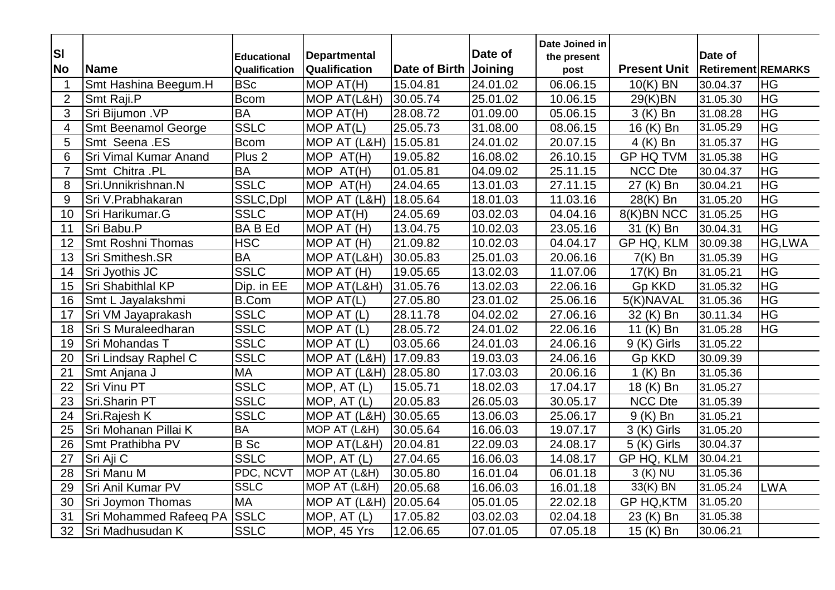| <b>SI</b>      |                            | <b>Educational</b> | <b>Departmental</b>   |                      | Date of  | Date Joined in<br>the present |                     | Date of                   |            |
|----------------|----------------------------|--------------------|-----------------------|----------------------|----------|-------------------------------|---------------------|---------------------------|------------|
| <b>No</b>      | Name                       | Qualification      | <b>Qualification</b>  | <b>Date of Birth</b> | Joining  | post                          | <b>Present Unit</b> | <b>Retirement REMARKS</b> |            |
| $\overline{1}$ | Smt Hashina Beegum.H       | <b>BSc</b>         | MOP AT(H)             | 15.04.81             | 24.01.02 | 06.06.15                      | $10(K)$ BN          | 30.04.37                  | <b>HG</b>  |
| $\overline{2}$ | Smt Raji.P                 | <b>Bcom</b>        | MOP AT(L&H)           | 30.05.74             | 25.01.02 | 10.06.15                      | 29(K)BN             | 31.05.30                  | <b>HG</b>  |
| 3              | Sri Bijumon .VP            | <b>BA</b>          | MOP AT(H)             | 28.08.72             | 01.09.00 | 05.06.15                      | 3 (K) Bn            | 31.08.28                  | <b>HG</b>  |
| $\overline{4}$ | <b>Smt Beenamol George</b> | <b>SSLC</b>        | MOP AT(L)             | 25.05.73             | 31.08.00 | 08.06.15                      | 16 (K) Bn           | 31.05.29                  | HG         |
| 5              | Smt Seena .ES              | <b>Bcom</b>        | MOP AT (L&H)          | 15.05.81             | 24.01.02 | 20.07.15                      | 4 (K) Bn            | 31.05.37                  | $H$ G      |
| 6              | Sri Vimal Kumar Anand      | Plus <sub>2</sub>  | MOP AT(H)             | 19.05.82             | 16.08.02 | 26.10.15                      | <b>GP HQ TVM</b>    | 31.05.38                  | HG         |
| $\overline{7}$ | Smt Chitra .PL             | <b>BA</b>          | MOP AT(H)             | 01.05.81             | 04.09.02 | 25.11.15                      | <b>NCC Dte</b>      | 30.04.37                  | HG         |
| 8              | Sri.Unnikrishnan.N         | <b>SSLC</b>        | MOP AT(H)             | 24.04.65             | 13.01.03 | 27.11.15                      | 27 (K) Bn           | 30.04.21                  | <b>HG</b>  |
| 9              | Sri V.Prabhakaran          | SSLC, Dpl          | MOP AT (L&H) 18.05.64 |                      | 18.01.03 | 11.03.16                      | 28(K) Bn            | 31.05.20                  | ΙH         |
| 10             | Sri Harikumar.G            | <b>SSLC</b>        | MOP AT(H)             | 24.05.69             | 03.02.03 | 04.04.16                      | 8(K)BN NCC          | 31.05.25                  | HG         |
| 11             | Sri Babu.P                 | <b>BABEd</b>       | MOP AT (H)            | 13.04.75             | 10.02.03 | 23.05.16                      | 31 (K) Bn           | 30.04.31                  | HG         |
| 12             | Smt Roshni Thomas          | <b>HSC</b>         | MOP AT (H)            | 21.09.82             | 10.02.03 | 04.04.17                      | GP HQ, KLM          | 30.09.38                  | HG,LWA     |
| 13             | Sri Smithesh.SR            | <b>BA</b>          | MOP AT(L&H)           | 30.05.83             | 25.01.03 | 20.06.16                      | $7(K)$ Bn           | 31.05.39                  | <b>HG</b>  |
| 14             | Sri Jyothis JC             | <b>SSLC</b>        | MOP AT (H)            | 19.05.65             | 13.02.03 | 11.07.06                      | 17(K) Bn            | 31.05.21                  | HG         |
| 15             | Sri Shabithlal KP          | Dip. in EE         | MOP AT(L&H)           | 31.05.76             | 13.02.03 | 22.06.16                      | <b>Gp KKD</b>       | 31.05.32                  | HG         |
| 16             | Smt L Jayalakshmi          | <b>B.Com</b>       | MOP AT(L)             | 27.05.80             | 23.01.02 | 25.06.16                      | 5(K)NAVAL           | 31.05.36                  | HG         |
| 17             | Sri VM Jayaprakash         | <b>SSLC</b>        | MOP AT (L)            | 28.11.78             | 04.02.02 | 27.06.16                      | 32 (K) Bn           | 30.11.34                  | <b>HG</b>  |
| 18             | Sri S Muraleedharan        | <b>SSLC</b>        | MOP AT (L)            | 28.05.72             | 24.01.02 | 22.06.16                      | 11 (K) Bn           | 31.05.28                  | <b>HG</b>  |
| 19             | Sri Mohandas T             | <b>SSLC</b>        | MOP AT (L)            | 03.05.66             | 24.01.03 | 24.06.16                      | 9 (K) Girls         | 31.05.22                  |            |
| 20             | Sri Lindsay Raphel C       | <b>SSLC</b>        | MOP AT (L&H) 17.09.83 |                      | 19.03.03 | 24.06.16                      | <b>Gp KKD</b>       | 30.09.39                  |            |
| 21             | Smt Anjana J               | <b>MA</b>          | MOP AT (L&H)          | 28.05.80             | 17.03.03 | 20.06.16                      | $1(K)$ Bn           | 31.05.36                  |            |
| 22             | <b>Sri Vinu PT</b>         | <b>SSLC</b>        | MOP, AT (L)           | 15.05.71             | 18.02.03 | 17.04.17                      | 18 (K) Bn           | 31.05.27                  |            |
| 23             | Sri.Sharin PT              | <b>SSLC</b>        | MOP, AT (L)           | 20.05.83             | 26.05.03 | 30.05.17                      | <b>NCC Dte</b>      | 31.05.39                  |            |
| 24             | Sri.Rajesh K               | <b>SSLC</b>        | MOP AT (L&H)          | 30.05.65             | 13.06.03 | 25.06.17                      | $9(K)$ Bn           | 31.05.21                  |            |
| 25             | Sri Mohanan Pillai K       | <b>BA</b>          | MOP AT (L&H)          | 30.05.64             | 16.06.03 | 19.07.17                      | 3 (K) Girls         | 31.05.20                  |            |
| 26             | Smt Prathibha PV           | <b>B</b> Sc        | MOP AT(L&H)           | 20.04.81             | 22.09.03 | 24.08.17                      | 5 (K) Girls         | 30.04.37                  |            |
| 27             | Sri Aji C                  | <b>SSLC</b>        | MOP, AT (L)           | 27.04.65             | 16.06.03 | 14.08.17                      | GP HQ, KLM          | 30.04.21                  |            |
| 28             | Sri Manu M                 | PDC, NCVT          | MOP AT (L&H)          | 30.05.80             | 16.01.04 | 06.01.18                      | 3 (K) NU            | 31.05.36                  |            |
| 29             | Sri Anil Kumar PV          | <b>SSLC</b>        | MOP AT (L&H)          | 20.05.68             | 16.06.03 | 16.01.18                      | 33(K) BN            | 31.05.24                  | <b>LWA</b> |
| 30             | Sri Joymon Thomas          | <b>MA</b>          | MOP AT (L&H)          | 20.05.64             | 05.01.05 | 22.02.18                      | <b>GP HQ,KTM</b>    | 31.05.20                  |            |
| 31             | Sri Mohammed Rafeeq PA     | <b>SSLC</b>        | MOP, AT (L)           | 17.05.82             | 03.02.03 | 02.04.18                      | 23 (K) Bn           | 31.05.38                  |            |
| 32             | Sri Madhusudan K           | <b>SSLC</b>        | MOP, 45 Yrs           | 12.06.65             | 07.01.05 | 07.05.18                      | 15 (K) Bn           | 30.06.21                  |            |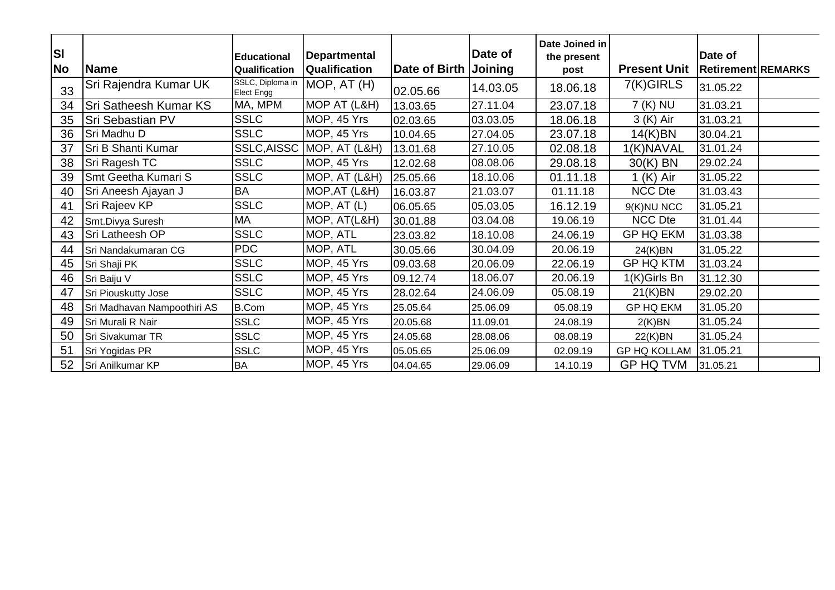| <b>SI</b><br> No | <b>Name</b>                 | <b>Educational</b><br>Qualification | <b>Departmental</b><br>Qualification | <b>Date of Birth</b> | Date of<br>Joining | Date Joined in<br>the present<br>post | <b>Present Unit</b> | Date of<br><b>Retirement REMARKS</b> |  |
|------------------|-----------------------------|-------------------------------------|--------------------------------------|----------------------|--------------------|---------------------------------------|---------------------|--------------------------------------|--|
| 33               | Sri Rajendra Kumar UK       | SSLC, Diploma in<br>Elect Engg      | MOP, AT (H)                          | 02.05.66             | 14.03.05           | 18.06.18                              | 7(K)GIRLS           | 31.05.22                             |  |
| 34               | Sri Satheesh Kumar KS       | MA, MPM                             | MOP AT (L&H)                         | 13.03.65             | 27.11.04           | 23.07.18                              | 7 (K) NU            | 31.03.21                             |  |
| 35               | Sri Sebastian PV            | <b>SSLC</b>                         | MOP, 45 Yrs                          | 02.03.65             | 03.03.05           | 18.06.18                              | 3 (K) Air           | 31.03.21                             |  |
| 36               | Sri Madhu D                 | <b>SSLC</b>                         | MOP, 45 Yrs                          | 10.04.65             | 27.04.05           | 23.07.18                              | 14(K)BN             | 30.04.21                             |  |
| 37               | Sri B Shanti Kumar          | SSLC, AISSC                         | MOP, AT (L&H)                        | 13.01.68             | 27.10.05           | 02.08.18                              | 1(K)NAVAL           | 31.01.24                             |  |
| 38               | Sri Ragesh TC               | <b>SSLC</b>                         | MOP, 45 Yrs                          | 12.02.68             | 08.08.06           | 29.08.18                              | 30(K) BN            | 29.02.24                             |  |
| 39               | Smt Geetha Kumari S         | <b>SSLC</b>                         | MOP, AT (L&H)                        | 25.05.66             | 18.10.06           | 01.11.18                              | $1(K)$ Air          | 31.05.22                             |  |
| 40               | Sri Aneesh Ajayan J         | <b>BA</b>                           | MOP, AT (L&H)                        | 16.03.87             | 21.03.07           | 01.11.18                              | <b>NCC Dte</b>      | 31.03.43                             |  |
| 41               | Sri Rajeev KP               | <b>SSLC</b>                         | MOP, AT (L)                          | 06.05.65             | 05.03.05           | 16.12.19                              | 9(K)NU NCC          | 31.05.21                             |  |
| 42               | Smt.Divya Suresh            | MA                                  | MOP, AT(L&H)                         | 30.01.88             | 03.04.08           | 19.06.19                              | <b>NCC Dte</b>      | 31.01.44                             |  |
| 43               | Sri Latheesh OP             | <b>SSLC</b>                         | MOP, ATL                             | 23.03.82             | 18.10.08           | 24.06.19                              | <b>GP HQ EKM</b>    | 31.03.38                             |  |
| 44               | Sri Nandakumaran CG         | <b>PDC</b>                          | MOP, ATL                             | 30.05.66             | 30.04.09           | 20.06.19                              | 24(K)BN             | 31.05.22                             |  |
| 45               | Sri Shaji PK                | <b>SSLC</b>                         | MOP, 45 Yrs                          | 09.03.68             | 20.06.09           | 22.06.19                              | <b>GP HQ KTM</b>    | 31.03.24                             |  |
| 46               | Sri Baiju V                 | <b>SSLC</b>                         | MOP, 45 Yrs                          | 09.12.74             | 18.06.07           | 20.06.19                              | 1(K)Girls Bn        | 31.12.30                             |  |
| 47               | Sri Piouskutty Jose         | <b>SSLC</b>                         | MOP, 45 Yrs                          | 28.02.64             | 24.06.09           | 05.08.19                              | 21(K)BN             | 29.02.20                             |  |
| 48               | Sri Madhavan Nampoothiri AS | <b>B.Com</b>                        | MOP, 45 Yrs                          | 25.05.64             | 25.06.09           | 05.08.19                              | <b>GP HQ EKM</b>    | 31.05.20                             |  |
| 49               | Sri Murali R Nair           | <b>SSLC</b>                         | MOP, 45 Yrs                          | 20.05.68             | 11.09.01           | 24.08.19                              | 2(K)BN              | 31.05.24                             |  |
| 50               | Sri Sivakumar TR            | <b>SSLC</b>                         | MOP, 45 Yrs                          | 24.05.68             | 28.08.06           | 08.08.19                              | 22(K)BN             | 31.05.24                             |  |
| 51               | Sri Yogidas PR              | <b>SSLC</b>                         | MOP, 45 Yrs                          | 05.05.65             | 25.06.09           | 02.09.19                              | <b>GP HQ KOLLAM</b> | 31.05.21                             |  |
| 52               | Sri Anilkumar KP            | <b>BA</b>                           | MOP, 45 Yrs                          | 04.04.65             | 29.06.09           | 14.10.19                              | GP HQ TVM           | 31.05.21                             |  |